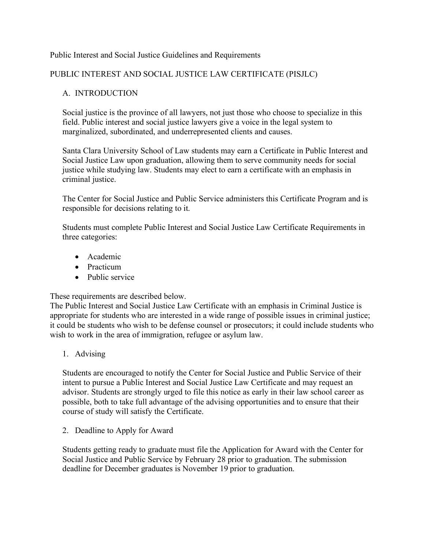#### Public Interest and Social Justice Guidelines and Requirements

## PUBLIC INTEREST AND SOCIAL JUSTICE LAW CERTIFICATE (PISJLC)

## A. INTRODUCTION

Social justice is the province of all lawyers, not just those who choose to specialize in this field. Public interest and social justice lawyers give a voice in the legal system to marginalized, subordinated, and underrepresented clients and causes.

Santa Clara University School of Law students may earn a Certificate in Public Interest and Social Justice Law upon graduation, allowing them to serve community needs for social justice while studying law. Students may elect to earn a certificate with an emphasis in criminal justice.

The Center for Social Justice and Public Service administers this Certificate Program and is responsible for decisions relating to it.

Students must complete Public Interest and Social Justice Law Certificate Requirements in three categories:

- Academic
- Practicum
- Public service

These requirements are described below.

The Public Interest and Social Justice Law Certificate with an emphasis in Criminal Justice is appropriate for students who are interested in a wide range of possible issues in criminal justice; it could be students who wish to be defense counsel or prosecutors; it could include students who wish to work in the area of immigration, refugee or asylum law.

1. Advising

Students are encouraged to notify the Center for Social Justice and Public Service of their intent to pursue a Public Interest and Social Justice Law Certificate and may request an advisor. Students are strongly urged to file this notice as early in their law school career as possible, both to take full advantage of the advising opportunities and to ensure that their course of study will satisfy the Certificate.

2. Deadline to Apply for Award

Students getting ready to graduate must file the Application for Award with the Center for Social Justice and Public Service by February 28 prior to graduation. The submission deadline for December graduates is November 19 prior to graduation.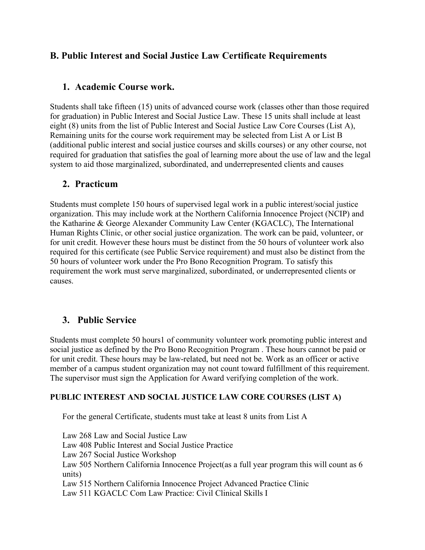## **B. Public Interest and Social Justice Law Certificate Requirements**

## **1. Academic Course work.**

Students shall take fifteen (15) units of advanced course work (classes other than those required for graduation) in Public Interest and Social Justice Law. These 15 units shall include at least eight (8) units from the list of Public Interest and Social Justice Law Core Courses (List A), Remaining units for the course work requirement may be selected from List A or List B (additional public interest and social justice courses and skills courses) or any other course, not required for graduation that satisfies the goal of learning more about the use of law and the legal system to aid those marginalized, subordinated, and underrepresented clients and causes

## **2. Practicum**

Students must complete 150 hours of supervised legal work in a public interest/social justice organization. This may include work at the Northern California Innocence Project (NCIP) and the Katharine & George Alexander Community Law Center (KGACLC), The International Human Rights Clinic, or other social justice organization. The work can be paid, volunteer, or for unit credit. However these hours must be distinct from the 50 hours of volunteer work also required for this certificate (see Public Service requirement) and must also be distinct from the 50 hours of volunteer work under the Pro Bono Recognition Program. To satisfy this requirement the work must serve marginalized, subordinated, or underrepresented clients or causes.

## **3. Public Service**

Students must complete 50 hours1 of community volunteer work promoting public interest and social justice as defined by the Pro Bono Recognition Program . These hours cannot be paid or for unit credit. These hours may be law-related, but need not be. Work as an officer or active member of a campus student organization may not count toward fulfillment of this requirement. The supervisor must sign the Application for Award verifying completion of the work.

### **PUBLIC INTEREST AND SOCIAL JUSTICE LAW CORE COURSES (LIST A)**

For the general Certificate, students must take at least 8 units from List A

Law 268 Law and Social Justice Law Law 408 Public Interest and Social Justice Practice Law 267 Social Justice Workshop Law 505 Northern California Innocence Project(as a full year program this will count as 6 units) Law 515 Northern California Innocence Project Advanced Practice Clinic Law 511 KGACLC Com Law Practice: Civil Clinical Skills I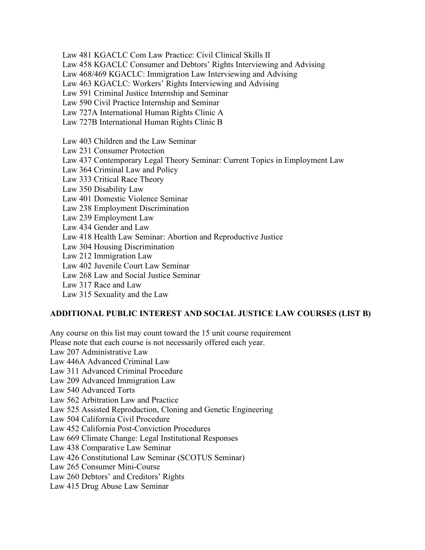Law 481 KGACLC Com Law Practice: Civil Clinical Skills II

Law 458 KGACLC Consumer and Debtors' Rights Interviewing and Advising

Law 468/469 KGACLC: Immigration Law Interviewing and Advising

Law 463 KGACLC: Workers' Rights Interviewing and Advising

Law 591 Criminal Justice Internship and Seminar

Law 590 Civil Practice Internship and Seminar

Law 727A International Human Rights Clinic A

Law 727B International Human Rights Clinic B

Law 403 Children and the Law Seminar

Law 231 Consumer Protection

Law 437 Contemporary Legal Theory Seminar: Current Topics in Employment Law

Law 364 Criminal Law and Policy

Law 333 Critical Race Theory

Law 350 Disability Law

Law 401 Domestic Violence Seminar

Law 238 Employment Discrimination

Law 239 Employment Law

Law 434 Gender and Law

Law 418 Health Law Seminar: Abortion and Reproductive Justice

Law 304 Housing Discrimination

Law 212 Immigration Law

Law 402 Juvenile Court Law Seminar

Law 268 Law and Social Justice Seminar

Law 317 Race and Law

Law 315 Sexuality and the Law

### **ADDITIONAL PUBLIC INTEREST AND SOCIAL JUSTICE LAW COURSES (LIST B)**

Any course on this list may count toward the 15 unit course requirement Please note that each course is not necessarily offered each year. Law 207 Administrative Law Law 446A Advanced Criminal Law Law 311 Advanced Criminal Procedure Law 209 Advanced Immigration Law Law 540 Advanced Torts Law 562 Arbitration Law and Practice Law 525 Assisted Reproduction, Cloning and Genetic Engineering Law 504 California Civil Procedure Law 452 California Post-Conviction Procedures Law 669 Climate Change: Legal Institutional Responses Law 438 Comparative Law Seminar Law 426 Constitutional Law Seminar (SCOTUS Seminar) Law 265 Consumer Mini-Course Law 260 Debtors' and Creditors' Rights Law 415 Drug Abuse Law Seminar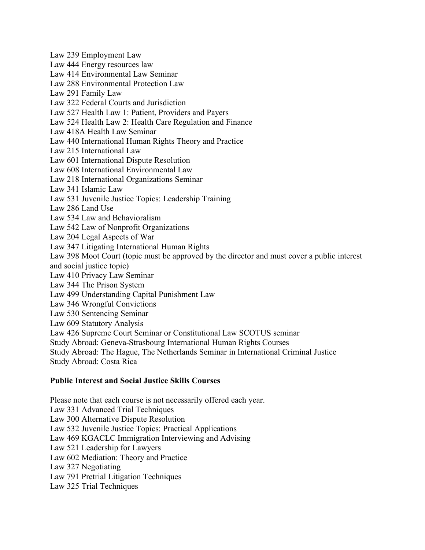Law 239 Employment Law Law 444 Energy resources law Law 414 Environmental Law Seminar Law 288 Environmental Protection Law Law 291 Family Law Law 322 Federal Courts and Jurisdiction Law 527 Health Law 1: Patient, Providers and Payers Law 524 Health Law 2: Health Care Regulation and Finance Law 418A Health Law Seminar Law 440 International Human Rights Theory and Practice Law 215 International Law Law 601 International Dispute Resolution Law 608 International Environmental Law Law 218 International Organizations Seminar Law 341 Islamic Law Law 531 Juvenile Justice Topics: Leadership Training Law 286 Land Use Law 534 Law and Behavioralism Law 542 Law of Nonprofit Organizations Law 204 Legal Aspects of War Law 347 Litigating International Human Rights Law 398 Moot Court (topic must be approved by the director and must cover a public interest and social justice topic) Law 410 Privacy Law Seminar Law 344 The Prison System Law 499 Understanding Capital Punishment Law Law 346 Wrongful Convictions Law 530 Sentencing Seminar Law 609 Statutory Analysis Law 426 Supreme Court Seminar or Constitutional Law SCOTUS seminar Study Abroad: Geneva-Strasbourg International Human Rights Courses Study Abroad: The Hague, The Netherlands Seminar in International Criminal Justice Study Abroad: Costa Rica

#### **Public Interest and Social Justice Skills Courses**

Please note that each course is not necessarily offered each year. Law 331 Advanced Trial Techniques Law 300 Alternative Dispute Resolution Law 532 Juvenile Justice Topics: Practical Applications Law 469 KGACLC Immigration Interviewing and Advising Law 521 Leadership for Lawyers Law 602 Mediation: Theory and Practice Law 327 Negotiating Law 791 Pretrial Litigation Techniques Law 325 Trial Techniques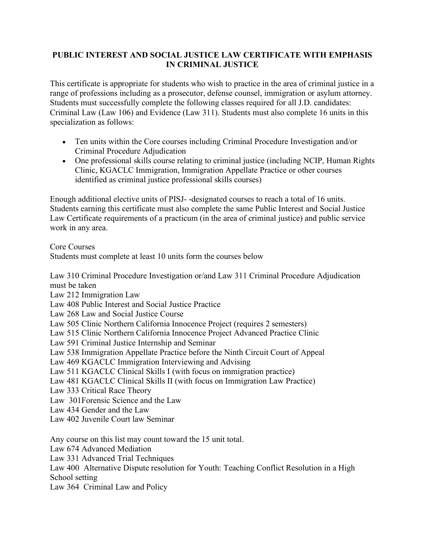## **PUBLIC INTEREST AND SOCIAL JUSTICE LAW CERTIFICATE WITH EMPHASIS IN CRIMINAL JUSTICE**

This certificate is appropriate for students who wish to practice in the area of criminal justice in a range of professions including as a prosecutor, defense counsel, immigration or asylum attorney. Students must successfully complete the following classes required for all J.D. candidates: Criminal Law (Law 106) and Evidence (Law 311). Students must also complete 16 units in this specialization as follows:

- Ten units within the Core courses including Criminal Procedure Investigation and/or Criminal Procedure Adjudication
- One professional skills course relating to criminal justice (including NCIP, Human Rights Clinic, KGACLC Immigration, Immigration Appellate Practice or other courses identified as criminal justice professional skills courses)

Enough additional elective units of PISJ- -designated courses to reach a total of 16 units. Students earning this certificate must also complete the same Public Interest and Social Justice Law Certificate requirements of a practicum (in the area of criminal justice) and public service work in any area.

Core Courses

Students must complete at least 10 units form the courses below

Law 310 Criminal Procedure Investigation or/and Law 311 Criminal Procedure Adjudication must be taken

Law 212 Immigration Law

Law 408 Public Interest and Social Justice Practice

Law 268 Law and Social Justice Course

Law 505 Clinic Northern California Innocence Project (requires 2 semesters)

Law 515 Clinic Northern California Innocence Project Advanced Practice Clinic

Law 591 Criminal Justice Internship and Seminar

Law 538 Immigration Appellate Practice before the Ninth Circuit Court of Appeal

Law 469 KGACLC Immigration Interviewing and Advising

Law 511 KGACLC Clinical Skills I (with focus on immigration practice)

Law 481 KGACLC Clinical Skills II (with focus on Immigration Law Practice)

Law 333 Critical Race Theory

Law 301Forensic Science and the Law

Law 434 Gender and the Law

Law 402 Juvenile Court law Seminar

Any course on this list may count toward the 15 unit total.

Law 674 Advanced Mediation

Law 331 Advanced Trial Techniques

Law 400 Alternative Dispute resolution for Youth: Teaching Conflict Resolution in a High School setting

Law 364 Criminal Law and Policy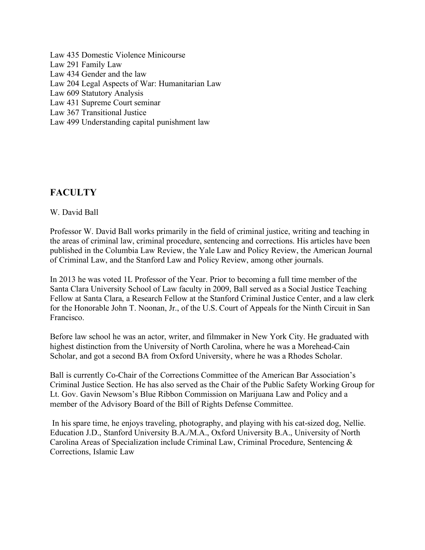Law 435 Domestic Violence Minicourse Law 291 Family Law Law 434 Gender and the law Law 204 Legal Aspects of War: Humanitarian Law Law 609 Statutory Analysis Law 431 Supreme Court seminar Law 367 Transitional Justice Law 499 Understanding capital punishment law

# **FACULTY**

## W. David Ball

Professor W. David Ball works primarily in the field of criminal justice, writing and teaching in the areas of criminal law, criminal procedure, sentencing and corrections. His articles have been published in the Columbia Law Review, the Yale Law and Policy Review, the American Journal of Criminal Law, and the Stanford Law and Policy Review, among other journals.

In 2013 he was voted 1L Professor of the Year. Prior to becoming a full time member of the Santa Clara University School of Law faculty in 2009, Ball served as a Social Justice Teaching Fellow at Santa Clara, a Research Fellow at the Stanford Criminal Justice Center, and a law clerk for the Honorable John T. Noonan, Jr., of the U.S. Court of Appeals for the Ninth Circuit in San Francisco.

Before law school he was an actor, writer, and filmmaker in New York City. He graduated with highest distinction from the University of North Carolina, where he was a Morehead-Cain Scholar, and got a second BA from Oxford University, where he was a Rhodes Scholar.

Ball is currently Co-Chair of the Corrections Committee of the American Bar Association's Criminal Justice Section. He has also served as the Chair of the Public Safety Working Group for Lt. Gov. Gavin Newsom's Blue Ribbon Commission on Marijuana Law and Policy and a member of the Advisory Board of the Bill of Rights Defense Committee.

In his spare time, he enjoys traveling, photography, and playing with his cat-sized dog, Nellie. Education J.D., Stanford University B.A./M.A., Oxford University B.A., University of North Carolina Areas of Specialization include Criminal Law, Criminal Procedure, Sentencing & Corrections, Islamic Law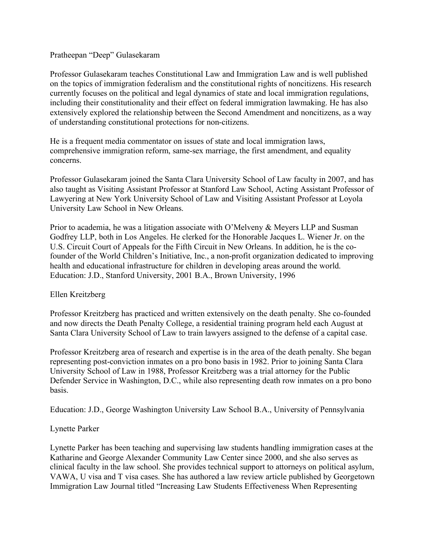#### Pratheepan "Deep" Gulasekaram

Professor Gulasekaram teaches Constitutional Law and Immigration Law and is well published on the topics of immigration federalism and the constitutional rights of noncitizens. His research currently focuses on the political and legal dynamics of state and local immigration regulations, including their constitutionality and their effect on federal immigration lawmaking. He has also extensively explored the relationship between the Second Amendment and noncitizens, as a way of understanding constitutional protections for non-citizens.

He is a frequent media commentator on issues of state and local immigration laws, comprehensive immigration reform, same-sex marriage, the first amendment, and equality concerns.

Professor Gulasekaram joined the Santa Clara University School of Law faculty in 2007, and has also taught as Visiting Assistant Professor at Stanford Law School, Acting Assistant Professor of Lawyering at New York University School of Law and Visiting Assistant Professor at Loyola University Law School in New Orleans.

Prior to academia, he was a litigation associate with O'Melveny & Meyers LLP and Susman Godfrey LLP, both in Los Angeles. He clerked for the Honorable Jacques L. Wiener Jr. on the U.S. Circuit Court of Appeals for the Fifth Circuit in New Orleans. In addition, he is the cofounder of the World Children's Initiative, Inc., a non-profit organization dedicated to improving health and educational infrastructure for children in developing areas around the world. Education: J.D., Stanford University, 2001 B.A., Brown University, 1996

### Ellen Kreitzberg

Professor Kreitzberg has practiced and written extensively on the death penalty. She co-founded and now directs the Death Penalty College, a residential training program held each August at Santa Clara University School of Law to train lawyers assigned to the defense of a capital case.

Professor Kreitzberg area of research and expertise is in the area of the death penalty. She began representing post-conviction inmates on a pro bono basis in 1982. Prior to joining Santa Clara University School of Law in 1988, Professor Kreitzberg was a trial attorney for the Public Defender Service in Washington, D.C., while also representing death row inmates on a pro bono basis.

Education: J.D., George Washington University Law School B.A., University of Pennsylvania

#### Lynette Parker

Lynette Parker has been teaching and supervising law students handling immigration cases at the Katharine and George Alexander Community Law Center since 2000, and she also serves as clinical faculty in the law school. She provides technical support to attorneys on political asylum, VAWA, U visa and T visa cases. She has authored a law review article published by Georgetown Immigration Law Journal titled "Increasing Law Students Effectiveness When Representing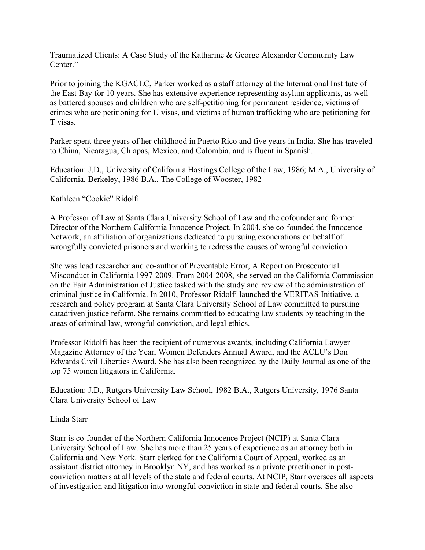Traumatized Clients: A Case Study of the Katharine & George Alexander Community Law Center."

Prior to joining the KGACLC, Parker worked as a staff attorney at the International Institute of the East Bay for 10 years. She has extensive experience representing asylum applicants, as well as battered spouses and children who are self-petitioning for permanent residence, victims of crimes who are petitioning for U visas, and victims of human trafficking who are petitioning for T visas.

Parker spent three years of her childhood in Puerto Rico and five years in India. She has traveled to China, Nicaragua, Chiapas, Mexico, and Colombia, and is fluent in Spanish.

Education: J.D., University of California Hastings College of the Law, 1986; M.A., University of California, Berkeley, 1986 B.A., The College of Wooster, 1982

Kathleen "Cookie" Ridolfi

A Professor of Law at Santa Clara University School of Law and the cofounder and former Director of the Northern California Innocence Project. In 2004, she co-founded the Innocence Network, an affiliation of organizations dedicated to pursuing exonerations on behalf of wrongfully convicted prisoners and working to redress the causes of wrongful conviction.

She was lead researcher and co-author of Preventable Error, A Report on Prosecutorial Misconduct in California 1997-2009. From 2004-2008, she served on the California Commission on the Fair Administration of Justice tasked with the study and review of the administration of criminal justice in California. In 2010, Professor Ridolfi launched the VERITAS Initiative, a research and policy program at Santa Clara University School of Law committed to pursuing datadriven justice reform. She remains committed to educating law students by teaching in the areas of criminal law, wrongful conviction, and legal ethics.

Professor Ridolfi has been the recipient of numerous awards, including California Lawyer Magazine Attorney of the Year, Women Defenders Annual Award, and the ACLU's Don Edwards Civil Liberties Award. She has also been recognized by the Daily Journal as one of the top 75 women litigators in California.

Education: J.D., Rutgers University Law School, 1982 B.A., Rutgers University, 1976 Santa Clara University School of Law

#### Linda Starr

Starr is co-founder of the Northern California Innocence Project (NCIP) at Santa Clara University School of Law. She has more than 25 years of experience as an attorney both in California and New York. Starr clerked for the California Court of Appeal, worked as an assistant district attorney in Brooklyn NY, and has worked as a private practitioner in postconviction matters at all levels of the state and federal courts. At NCIP, Starr oversees all aspects of investigation and litigation into wrongful conviction in state and federal courts. She also